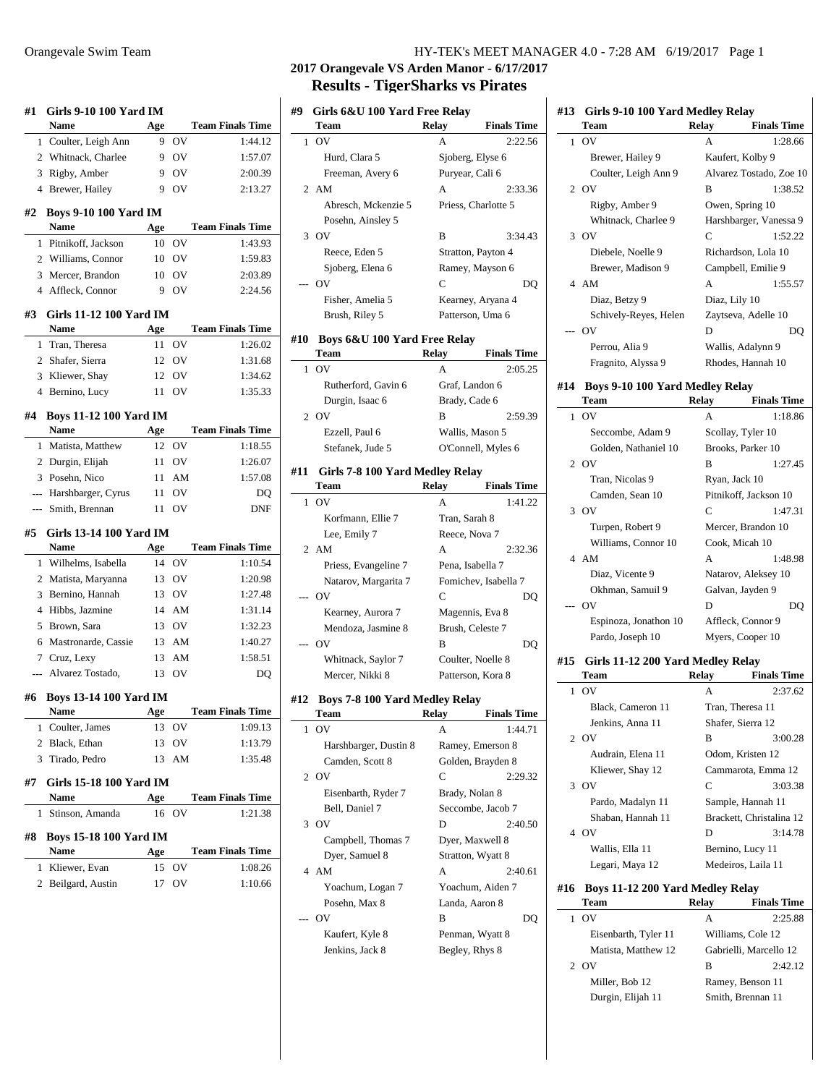| #1             | <b>Girls 9-10 100 Yard IM</b><br>Name       | Age      |                | <b>Team Finals Time</b>                                                                                                                                                                                     |
|----------------|---------------------------------------------|----------|----------------|-------------------------------------------------------------------------------------------------------------------------------------------------------------------------------------------------------------|
| 1              | Coulter, Leigh Ann                          | 9        | OV             | 1:44.12                                                                                                                                                                                                     |
|                | 2 Whitnack, Charlee                         | 9        | <b>OV</b>      | 1:57.07                                                                                                                                                                                                     |
| 3              | Rigby, Amber                                | 9        | OV             | 2:00.39                                                                                                                                                                                                     |
|                | 4 Brewer, Hailey                            | 9        | OV             | 2:13.27                                                                                                                                                                                                     |
| #2             | <b>Boys 9-10 100 Yard IM</b><br><b>Name</b> | Age      |                | <b>Team Finals Time</b>                                                                                                                                                                                     |
| 1              | Pitnikoff, Jackson                          | 10       | OV             | 1:43.93                                                                                                                                                                                                     |
|                | 2 Williams, Connor                          | 10       | OV             | 1:59.83                                                                                                                                                                                                     |
|                | 3 Mercer, Brandon                           | 10       | O <sub>V</sub> | 2:03.89                                                                                                                                                                                                     |
|                | 4 Affleck, Connor                           | 9        | OV             | 2:24.56                                                                                                                                                                                                     |
| #3             | <b>Girls 11-12 100 Yard IM</b>              |          |                |                                                                                                                                                                                                             |
|                | Name                                        | Age      |                | <b>Team Finals Time</b>                                                                                                                                                                                     |
| 1              | Tran, Theresa                               | 11       | OV             | 1:26.02                                                                                                                                                                                                     |
|                | 2 Shafer, Sierra                            | 12       | OV             | 1:31.68                                                                                                                                                                                                     |
|                | 3 Kliewer, Shay                             | 12       | OV             | 1:34.62                                                                                                                                                                                                     |
| 4              | Bernino, Lucy                               | 11       | OV             | 1:35.33                                                                                                                                                                                                     |
| #4             | <b>Boys 11-12 100 Yard IM</b>               |          |                |                                                                                                                                                                                                             |
|                | Name                                        | Age      |                | <b>Team Finals Time</b>                                                                                                                                                                                     |
| 1              | Matista, Matthew                            | 12       | OV             | 1:18.55                                                                                                                                                                                                     |
|                | 2 Durgin, Elijah                            | 11       | O <sub>V</sub> | 1:26.07                                                                                                                                                                                                     |
|                | 3 Posehn, Nico                              | 11       | AM             | 1:57.08                                                                                                                                                                                                     |
|                | --- Harshbarger, Cyrus                      | 11       | OV             | DO                                                                                                                                                                                                          |
|                | --- Smith, Brennan                          | 11       | OV             | DNF                                                                                                                                                                                                         |
|                |                                             |          |                |                                                                                                                                                                                                             |
| #5             | Girls 13-14 100 Yard IM                     |          |                |                                                                                                                                                                                                             |
|                | Name                                        | Age      |                |                                                                                                                                                                                                             |
| 1              | Wilhelms, Isabella                          | 14       | OV             |                                                                                                                                                                                                             |
|                | 2 Matista, Maryanna                         | 13       | OV             |                                                                                                                                                                                                             |
| 3              | Bernino, Hannah                             | 13       | OV             |                                                                                                                                                                                                             |
|                | 4 Hibbs, Jazmine                            | 14       | AM             | 1:31.14                                                                                                                                                                                                     |
| 5              | Brown, Sara                                 |          | 13 OV          | 1:32.23                                                                                                                                                                                                     |
| 6              | Mastronarde, Cassie                         |          | 13 AM          | 1:40.27                                                                                                                                                                                                     |
|                | 7 Cruz, Lexy                                | 13       | AM             | 1:58.51                                                                                                                                                                                                     |
| $\overline{a}$ | Alvarez Tostado,                            | 13       | OV             |                                                                                                                                                                                                             |
| #6             | <b>Boys 13-14 100 Yard IM</b>               |          |                |                                                                                                                                                                                                             |
|                | Name                                        | Age      |                |                                                                                                                                                                                                             |
| 1              | Coulter, James                              | 13       | OV             |                                                                                                                                                                                                             |
| 2              | Black, Ethan                                | 13       | OV             |                                                                                                                                                                                                             |
| 3<br>#7        | Tirado, Pedro<br>Girls 15-18 100 Yard IM    | 13       | AM             |                                                                                                                                                                                                             |
|                | Name                                        | Age      |                |                                                                                                                                                                                                             |
| 1              | Stinson, Amanda                             | 16       | OV             |                                                                                                                                                                                                             |
| #8             | <b>Boys 15-18 100 Yard IM</b>               |          |                |                                                                                                                                                                                                             |
|                | Name                                        | Age      |                | DO                                                                                                                                                                                                          |
| 1<br>2         | Kliewer, Evan<br>Beilgard, Austin           | 15<br>17 | ov<br>OV       | <b>Team Finals Time</b><br>1:10.54<br>1:20.98<br>1:27.48<br><b>Team Finals Time</b><br>1:09.13<br>1:13.79<br>1:35.48<br><b>Team Finals Time</b><br>1:21.38<br><b>Team Finals Time</b><br>1:08.26<br>1:10.66 |

# **2017 Orangevale VS Arden Manor - 6/17/2017 Results - TigerSharks vs Pirates**

| #9             | Girls 6&U 100 Yard Free Relay         |               |                      |
|----------------|---------------------------------------|---------------|----------------------|
|                | Team                                  | Relay         | <b>Finals Time</b>   |
| 1              | OV                                    | А             | 2:22.56              |
|                | Hurd, Clara 5                         |               | Sjoberg, Elyse 6     |
|                | Freeman, Avery 6                      |               | Puryear, Cali 6      |
| 2              | AM                                    | А             | 2:33.36              |
|                | Abresch, Mckenzie 5                   |               | Priess, Charlotte 5  |
|                | Posehn, Ainsley 5                     |               |                      |
| 3              | OV                                    | B             | 3:34.43              |
|                | Reece, Eden 5                         |               | Stratton, Payton 4   |
|                | Sjoberg, Elena 6                      |               | Ramey, Mayson 6      |
|                | OV                                    | C             | DQ                   |
|                | Fisher, Amelia 5                      |               | Kearney, Aryana 4    |
|                | Brush, Riley 5                        |               | Patterson, Uma 6     |
|                |                                       |               |                      |
| #10            | Boys 6&U 100 Yard Free Relay          |               |                      |
|                | Team                                  | Relay         | <b>Finals Time</b>   |
| 1              | OV                                    | A             | 2:05.25              |
|                | Rutherford, Gavin 6                   |               | Graf, Landon 6       |
|                | Durgin, Isaac 6                       | Brady, Cade 6 |                      |
| $\overline{c}$ | O <sub>V</sub>                        | в             | 2:59.39              |
|                | Ezzell, Paul 6                        |               | Wallis, Mason 5      |
|                | Stefanek, Jude 5                      |               | O'Connell, Myles 6   |
| #11            | Girls 7-8 100 Yard Medley Relay       |               |                      |
|                | Team                                  | Relay         | <b>Finals Time</b>   |
| 1              | OV                                    | А             | 1:41.22              |
|                | Korfmann, Ellie 7                     | Tran, Sarah 8 |                      |
|                | Lee, Emily 7                          | Reece, Nova 7 |                      |
| 2              | AM                                    | А             | 2:32.36              |
|                | Priess, Evangeline 7                  |               | Pena, Isabella 7     |
|                | Natarov, Margarita 7                  |               | Fomichev, Isabella 7 |
|                | OV                                    | C             | DQ                   |
|                | Kearney, Aurora 7                     |               | Magennis, Eva 8      |
|                | Mendoza, Jasmine 8                    |               | Brush, Celeste 7     |
|                | OV                                    | в             | DQ                   |
|                | Whitnack, Saylor 7                    |               | Coulter, Noelle 8    |
|                | Mercer, Nikki 8                       |               | Patterson, Kora 8    |
|                |                                       |               |                      |
| #12            | <b>Boys 7-8 100 Yard Medley Relay</b> |               |                      |
|                | Team                                  | Relay         | <b>Finals Time</b>   |
| 1              | OV                                    | Α             | 1:44.71              |
|                | Harshbarger, Dustin 8                 |               | Ramey, Emerson 8     |
|                | Camden, Scott 8                       |               | Golden, Brayden 8    |
| 2              | O <sub>V</sub>                        | C             | 2:29.32              |
|                | Eisenbarth, Ryder 7                   |               | Brady, Nolan 8       |
|                | Bell, Daniel 7                        |               | Seccombe, Jacob 7    |
| 3              | OV                                    | D             | 2:40.50              |
|                | Campbell, Thomas 7                    |               | Dyer, Maxwell 8      |
|                | Dyer, Samuel 8                        |               | Stratton, Wyatt 8    |
| 4              | AM                                    | А             | 2:40.61              |
|                | Yoachum, Logan 7                      |               | Yoachum, Aiden 7     |
|                | Posehn, Max 8                         |               | Landa, Aaron 8       |
|                | OV                                    | B             | DQ                   |
|                | Kaufert, Kyle 8                       |               | Penman, Wyatt 8      |
|                | Jenkins, Jack 8                       |               | Begley, Rhys 8       |

| #13 | Girls 9-10 100 Yard Medley Relay<br>Team       | <b>Relay</b> | <b>Finals Time</b>       |
|-----|------------------------------------------------|--------------|--------------------------|
| 1   | OV                                             | А            | 1:28.66                  |
|     |                                                |              | Kaufert, Kolby 9         |
|     | Brewer, Hailey 9                               |              |                          |
|     | Coulter, Leigh Ann 9                           |              | Alvarez Tostado, Zoe 10  |
| 2   | OV                                             | B            | 1:38.52                  |
|     | Rigby, Amber 9                                 |              | Owen, Spring 10          |
|     | Whitnack, Charlee 9                            |              | Harshbarger, Vanessa 9   |
| 3   | OV                                             | C            | 1:52.22                  |
|     | Diebele, Noelle 9                              |              | Richardson, Lola 10      |
|     | Brewer, Madison 9                              |              | Campbell, Emilie 9       |
|     | 4 AM                                           | А            | 1:55.57                  |
|     | Diaz, Betzy 9                                  |              | Diaz, Lily 10            |
|     | Schively-Reyes, Helen                          |              | Zaytseva, Adelle 10      |
|     | OV                                             | D            | DO                       |
|     | Perrou, Alia 9                                 |              | Wallis, Adalynn 9        |
|     | Fragnito, Alyssa 9                             |              | Rhodes, Hannah 10        |
|     |                                                |              |                          |
| #14 | <b>Boys 9-10 100 Yard Medley Relay</b><br>Team |              | <b>Finals Time</b>       |
|     |                                                | Relay        |                          |
| 1   | OV<br>Seccombe, Adam 9                         | А            | 1:18.86                  |
|     |                                                |              | Scollay, Tyler 10        |
|     | Golden, Nathaniel 10                           |              | Brooks, Parker 10        |
| 2   | <b>OV</b>                                      | в            | 1:27.45                  |
|     | Tran, Nicolas 9                                |              | Ryan, Jack 10            |
|     | Camden, Sean 10                                |              | Pitnikoff, Jackson 10    |
| 3   | OV                                             | C            | 1:47.31                  |
|     | Turpen, Robert 9                               |              | Mercer, Brandon 10       |
|     | Williams, Connor 10                            |              | Cook, Micah 10           |
| 4   | AM                                             | A            | 1:48.98                  |
|     | Diaz, Vicente 9                                |              | Natarov, Aleksey 10      |
|     | Okhman, Samuil 9                               |              | Galvan, Jayden 9         |
|     | OV                                             | D            | DQ                       |
|     | Espinoza, Jonathon 10                          |              | Affleck, Connor 9        |
|     | Pardo, Joseph 10                               |              | Myers, Cooper 10         |
| #15 | Girls 11-12 200 Yard Medley Relay              |              |                          |
|     | Team                                           | Relay        | <b>Finals Time</b>       |
| 1   | OV                                             | A            | 2:37.62                  |
|     | Black, Cameron 11                              |              | Tran, Theresa 11         |
|     | Jenkins, Anna 11                               |              | Shafer, Sierra 12        |
| 2   | OV                                             | в            | 3:00.28                  |
|     | Audrain, Elena 11                              |              | Odom, Kristen 12         |
|     | Kliewer, Shay 12                               |              | Cammarota, Emma 12       |
| 3   | OV                                             | C            | 3:03.38                  |
|     | Pardo, Madalyn 11                              |              | Sample, Hannah 11        |
|     | Shaban, Hannah 11                              |              | Brackett, Christalina 12 |
|     | 4 OV                                           | D            | 3:14.78                  |
|     | Wallis, Ella 11                                |              | Bernino, Lucy 11         |
|     | Legari, Maya 12                                |              | Medeiros, Laila 11       |
| #16 | <b>Boys 11-12 200 Yard Medley Relay</b>        |              |                          |
|     | Team                                           | Relay        | <b>Finals Time</b>       |
| 1   | OV                                             | А            | 2:25.88                  |
|     | Eisenbarth, Tyler 11                           |              | Williams, Cole 12        |
|     | Matista, Matthew 12                            |              | Gabrielli, Marcello 12   |
| 2   | <b>OV</b>                                      | в            | 2:42.12                  |
|     | Miller, Bob 12                                 |              | Ramey, Benson 11         |
|     | Durgin, Elijah 11                              |              | Smith, Brennan 11        |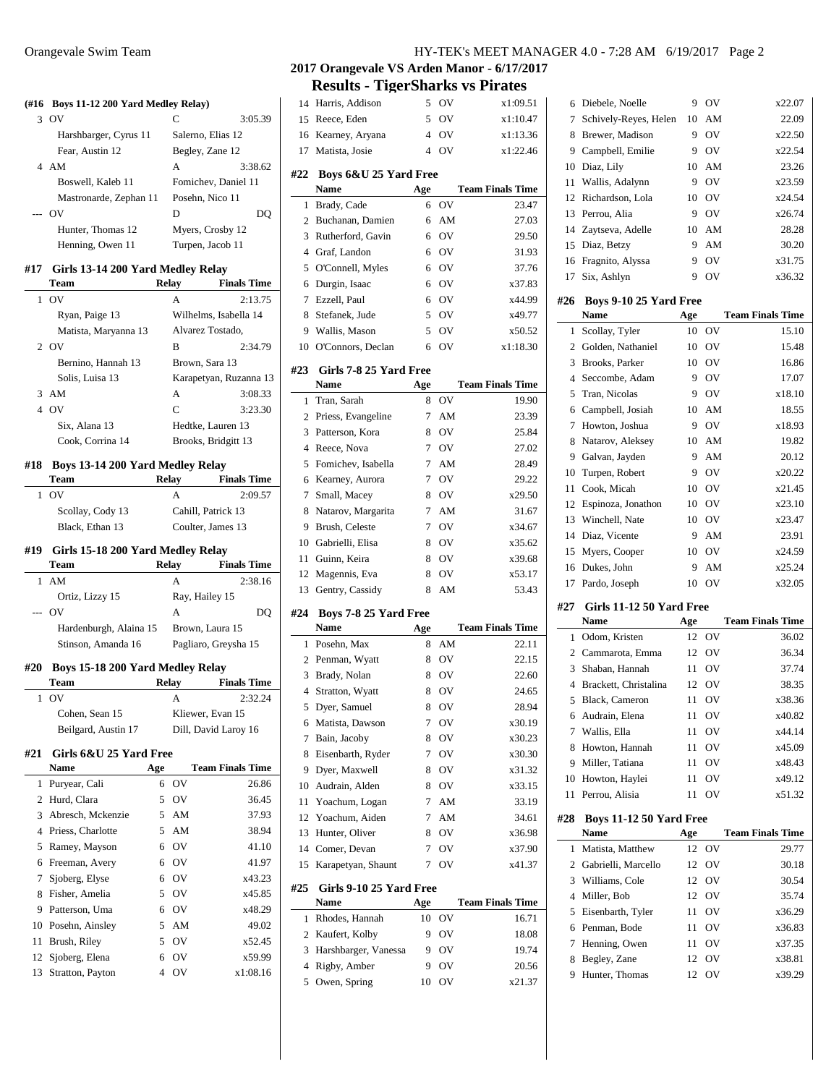#### **(#16 Boys 11-12 200 Yard Medley Relay)**

|       | OV                     | C                   | 3:05.39 |
|-------|------------------------|---------------------|---------|
|       | Harshbarger, Cyrus 11  | Salerno, Elias 12   |         |
|       | Fear, Austin 12        | Begley, Zane 12     |         |
|       | AM                     | A                   | 3:38.62 |
|       | Boswell, Kaleb 11      | Fomichev, Daniel 11 |         |
|       | Mastronarde, Zephan 11 | Posehn, Nico 11     |         |
| $---$ | OV                     | D                   | DO      |
|       | Hunter, Thomas 12      | Myers, Crosby 12    |         |
|       | Henning, Owen 11       | Turpen, Jacob 11    |         |
|       |                        |                     |         |

## **#17 Girls 13-14 200 Yard Medley Relay**

| <b>Team</b>          | Relay | <b>Finals Time</b>     |
|----------------------|-------|------------------------|
| O <sub>V</sub><br>1  | A     | 2:13.75                |
| Ryan, Paige 13       |       | Wilhelms, Isabella 14  |
| Matista, Maryanna 13 |       | Alvarez Tostado,       |
| 2 OV                 | в     | 2:34.79                |
| Bernino, Hannah 13   |       | Brown, Sara 13         |
| Solis, Luisa 13      |       | Karapetyan, Ruzanna 13 |
| AM<br>3              | A     | 3:08.33                |
| 0V                   | C     | 3:23.30                |
| Six, Alana 13        |       | Hedtke, Lauren 13      |
| Cook, Corrina 14     |       | Brooks, Bridgitt 13    |

#### **#18 Boys 13-14 200 Yard Medley Relay**

|     | Team                              | Relav        | <b>Finals Time</b>   |
|-----|-----------------------------------|--------------|----------------------|
|     | $1 \Omega V$                      | A            | 2:09.57              |
|     | Scollay, Cody 13                  |              | Cahill, Patrick 13   |
|     | Black, Ethan 13                   |              | Coulter, James 13    |
| #19 | Girls 15-18 200 Yard Medley Relay |              |                      |
|     | <b>Team</b>                       | Relay        | <b>Finals Time</b>   |
|     | $1$ AM                            | $\mathsf{A}$ | 2:38.16              |
|     | Ortiz, Lizzy 15                   |              | Ray, Hailey 15       |
|     | -- OV                             | A            | DO                   |
|     | Hardenburgh, Alaina 15            |              | Brown, Laura 15      |
|     | Stinson, Amanda 16                |              | Pagliaro, Greysha 15 |
| #20 | Boys 15-18 200 Yard Medley Relay  |              |                      |
|     | <b>Team</b>                       | Relav        | <b>Finals Time</b>   |
| 1   | O <sub>V</sub>                    | A            | 2:32.24              |
|     | Cohen, Sean 15                    |              | Kliewer, Evan 15     |
|     | Beilgard, Austin 17               |              | Dill, David Laroy 16 |
|     |                                   |              |                      |

## **#21 Girls 6&U 25 Yard Free**

|    | <b>Name</b>         | Age |    | <b>Team Finals Time</b> |
|----|---------------------|-----|----|-------------------------|
|    | 1 Puryear, Cali     | 6   | OV | 26.86                   |
| 2  | Hurd, Clara         | 5   | OV | 36.45                   |
| 3  | Abresch, Mckenzie   | 5   | AM | 37.93                   |
| 4  | Priess, Charlotte   | 5   | AM | 38.94                   |
|    | 5 Ramey, Mayson     | 6   | OV | 41.10                   |
| 6  | Freeman, Avery      | 6   | OV | 41.97                   |
| 7  | Sjoberg, Elyse      | 6   | OV | x43.23                  |
| 8  | Fisher, Amelia      | 5   | OV | x45.85                  |
| 9  | Patterson, Uma      | 6   | OV | x48.29                  |
| 10 | Posehn, Ainsley     | 5   | AM | 49.02                   |
| 11 | Brush, Riley        | 5   | OV | x52.45                  |
|    | 12 Sjoberg, Elena   | 6   | OV | x59.99                  |
|    | 13 Stratton, Payton | 4   | OV | x1:08.16                |

## Orangevale Swim Team HY-TEK's MEET MANAGER 4.0 - 7:28 AM 6/19/2017 Page 2

# **2017 Orangevale VS Arden Manor - 6/17/2017 Results - TigerSharks vs Pirates**

|                |                                 |                | OV       |                         |
|----------------|---------------------------------|----------------|----------|-------------------------|
| 14             | Harris, Addison                 | 5              |          | x1:09.51                |
| 15             | Reece, Eden                     | 5              | OV       | x1:10.47                |
| 16             | Kearney, Aryana                 | $\overline{4}$ | OV       | x1:13.36                |
| 17             | Matista, Josie                  | $\overline{4}$ | OV       | x1:22.46                |
| #22            | Boys 6&U 25 Yard Free           |                |          |                         |
|                | Name                            | Age            |          | <b>Team Finals Time</b> |
| 1              | Brady, Cade                     | 6              | OV       | 23.47                   |
| 2              | Buchanan, Damien                | 6              | AM       | 27.03                   |
| 3              | Rutherford, Gavin               | 6              | OV       | 29.50                   |
| 4              | Graf, Landon                    | 6              | OV       | 31.93                   |
| 5              | O'Connell, Myles                | 6              | OV       | 37.76                   |
| 6              | Durgin, Isaac                   | 6              | OV       | x37.83                  |
| 7              | Ezzell, Paul                    | 6              | OV       | x44.99                  |
| 8              | Stefanek, Jude                  | 5              | OV       | x49.77                  |
|                | Wallis, Mason                   | 5              |          |                         |
| 9              |                                 |                | OV       | x50.52                  |
| 10             | O'Connors, Declan               | 6              | OV       | x1:18.30                |
| #23            | Girls 7-8 25 Yard Free          |                |          |                         |
|                | Name                            | Age            |          | <b>Team Finals Time</b> |
| 1              | Tran, Sarah                     | 8              | OV       | 19.90                   |
| 2              | Priess, Evangeline              | 7              | AM       | 23.39                   |
| 3              | Patterson, Kora                 | 8              | OV       | 25.84                   |
| 4              | Reece, Nova                     | 7              | OV       | 27.02                   |
| 5              | Fomichev, Isabella              | 7              | AM       | 28.49                   |
| 6              | Kearney, Aurora                 | 7              | OV       | 29.22                   |
| 7              | Small, Macey                    | 8              | OV       | x29.50                  |
| 8              | Natarov, Margarita              | 7              | AM       | 31.67                   |
| 9              | Brush, Celeste                  | 7              | OV       | x34.67                  |
|                | 10 Gabrielli, Elisa             | 8              | OV       | x35.62                  |
| 11             | Guinn, Keira                    | 8              | OV       | x39.68                  |
| 12             | Magennis, Eva                   | 8              | OV       | x53.17                  |
| 13             | Gentry, Cassidy                 | 8              | AM       | 53.43                   |
|                |                                 |                |          |                         |
| #24            | Boys 7-8 25 Yard Free           |                |          |                         |
|                | <b>Name</b>                     | Age            |          | <b>Team Finals Time</b> |
| 1              | Posehn, Max                     | 8              | AM       | 22.11                   |
| 2              | Penman, Wyatt                   | 8              | OV       | 22.15                   |
| 3              | Brady, Nolan                    | 8              | OV       | 22.60                   |
| 4              | Stratton, Wyatt                 | 8              | OV       | 24.65                   |
| 5              | Dyer, Samuel                    | 8              | OV       | 28.94                   |
| 6              | Matista, Dawson                 | 7              | ov       | x30.19                  |
| 7              | Bain, Jacoby                    | 8              | OV       | x30.23                  |
| 8              | Eisenbarth, Ryder               | 7              | OV       | x30.30                  |
| 9              | Dyer, Maxwell                   | 8              | OV       | x31.32                  |
| 10             | Audrain, Alden                  | 8              | OV       | x33.15                  |
| 11             | Yoachum, Logan                  | 7              | AM       | 33.19                   |
| 12             | Yoachum, Aiden                  | 7              | AM       | 34.61                   |
| 13             | Hunter, Oliver                  | 8              | OV       | x36.98                  |
| 14             | Comer, Devan                    | 7              | OV       | x37.90                  |
| 15             | Karapetyan, Shaunt              | 7              | OV       | x41.37                  |
|                |                                 |                |          |                         |
| #25            | Girls 9-10 25 Yard Free<br>Name | Age            |          | <b>Team Finals Time</b> |
| 1              | Rhodes, Hannah                  | 10             | OV       | 16.71                   |
| 2              | Kaufert, Kolby                  | 9              |          |                         |
| 3              | Harshbarger, Vanessa            | 9              | OV<br>OV | 18.08<br>19.74          |
| $\overline{4}$ | Rigby, Amber                    | 9              | OV       | 20.56                   |
| 5              | Owen, Spring                    | 10             | OV       | x21.37                  |
|                |                                 |                |          |                         |

| 6              | Diebele, Noelle                | 9   | OV             | x22.07                  |
|----------------|--------------------------------|-----|----------------|-------------------------|
| 7              | Schively-Reyes, Helen          | 10  | AM             | 22.09                   |
| 8              | Brewer, Madison                | 9   | OV             | x22.50                  |
| 9.             | Campbell, Emilie               | 9   | OV             | x22.54                  |
| 10             | Diaz, Lily                     | 10  | AM             | 23.26                   |
| 11             | Wallis, Adalynn                | 9   | OV             | x23.59                  |
| 12             | Richardson, Lola               | 10  | OV             | x24.54                  |
|                | 13 Perrou, Alia                | 9   | OV             | x26.74                  |
| 14             | Zaytseva, Adelle               | 10  | AM             | 28.28                   |
| 15             | Diaz, Betzy                    | 9   | AM             | 30.20                   |
|                | 16 Fragnito, Alyssa            | 9   | OV             | x31.75                  |
| 17             | Six, Ashlyn                    | 9   | OV             | x36.32                  |
|                |                                |     |                |                         |
| #26            | Boys 9-10 25 Yard Free<br>Name | Age |                | <b>Team Finals Time</b> |
| 1              | Scollay, Tyler                 | 10  | OV             | 15.10                   |
| $\overline{2}$ | Golden, Nathaniel              | 10  | OV             | 15.48                   |
| 3              | Brooks, Parker                 | 10  | OV             | 16.86                   |
| 4              | Seccombe, Adam                 | 9   | OV             | 17.07                   |
| 5              | Tran, Nicolas                  | 9   | OV             | x18.10                  |
| 6              | Campbell, Josiah               | 10  | AM             | 18.55                   |
| 7              | Howton, Joshua                 | 9   | OV             | x18.93                  |
| 8              | Natarov, Aleksey               | 10  | AM             | 19.82                   |
| 9              | Galvan, Jayden                 | 9   | AM             | 20.12                   |
| 10             | Turpen, Robert                 | 9   | OV             | x20.22                  |
| 11             | Cook, Micah                    | 10  | OV             | x21.45                  |
|                | 12 Espinoza, Jonathon          | 10  | OV             | x23.10                  |
| 13             | Winchell, Nate                 | 10  | OV             | x23.47                  |
| 14             | Diaz, Vicente                  | 9   | AM             | 23.91                   |
| 15             | Myers, Cooper                  | 10  | OV             | x24.59                  |
| 16             | Dukes, John                    | 9   | AM             | x25.24                  |
| 17             | Pardo, Joseph                  | 10  | OV             | x32.05                  |
|                |                                |     |                |                         |
| #27            | Girls 11-12 50 Yard Free       |     |                |                         |
|                | Name                           | Age |                | <b>Team Finals Time</b> |
| 1              | Odom, Kristen                  | 12  | OV             | 36.02                   |
| $\overline{2}$ | Cammarota, Emma                | 12  | OV             | 36.34                   |
| 3              | Shaban, Hannah                 | 11  | OV             | 37.74                   |
| $\overline{4}$ | Brackett, Christalina          | 12  | OV             | 38.35                   |
| 5              | <b>Black</b> . Cameron         | 11  | OV             | x38.36                  |
| 6              | Audrain, Elena                 | 11  | OV             | x40.82                  |
| 7              | Wallis, Ella                   | 11  | OV             | x44.14                  |
| 8              | Howton, Hannah                 | 11  | OV             | x45.09                  |
| 9              | Miller, Tatiana                | 11  | OV             | x48.43                  |
|                | 10 Howton, Haylei              | 11  | OV             | x49.12                  |
| 11             | Perrou, Alisia                 | 11  | OV             | x51.32                  |
| #28            | Boys 11-12 50 Yard Free        |     |                |                         |
|                | Name                           | Age |                | <b>Team Finals Time</b> |
| 1              | Matista, Matthew               | 12  | OV             | 29.77                   |
| $\overline{2}$ | Gabrielli, Marcello            | 12  | OV             | 30.18                   |
| 3              | Williams, Cole                 | 12  | O <sub>V</sub> | 30.54                   |
| 4              | Miller, Bob                    | 12  | OV             | 35.74                   |
| 5              | Eisenbarth, Tyler              | 11  | OV             | x36.29                  |
| 6              | Penman, Bode                   | 11  | OV             | x36.83                  |
| 7              | Henning, Owen                  | 11  | OV             | x37.35                  |
| 8              | Begley, Zane                   | 12  | OV             | x38.81                  |
| 9              | Hunter, Thomas                 | 12  | OV             | x39.29                  |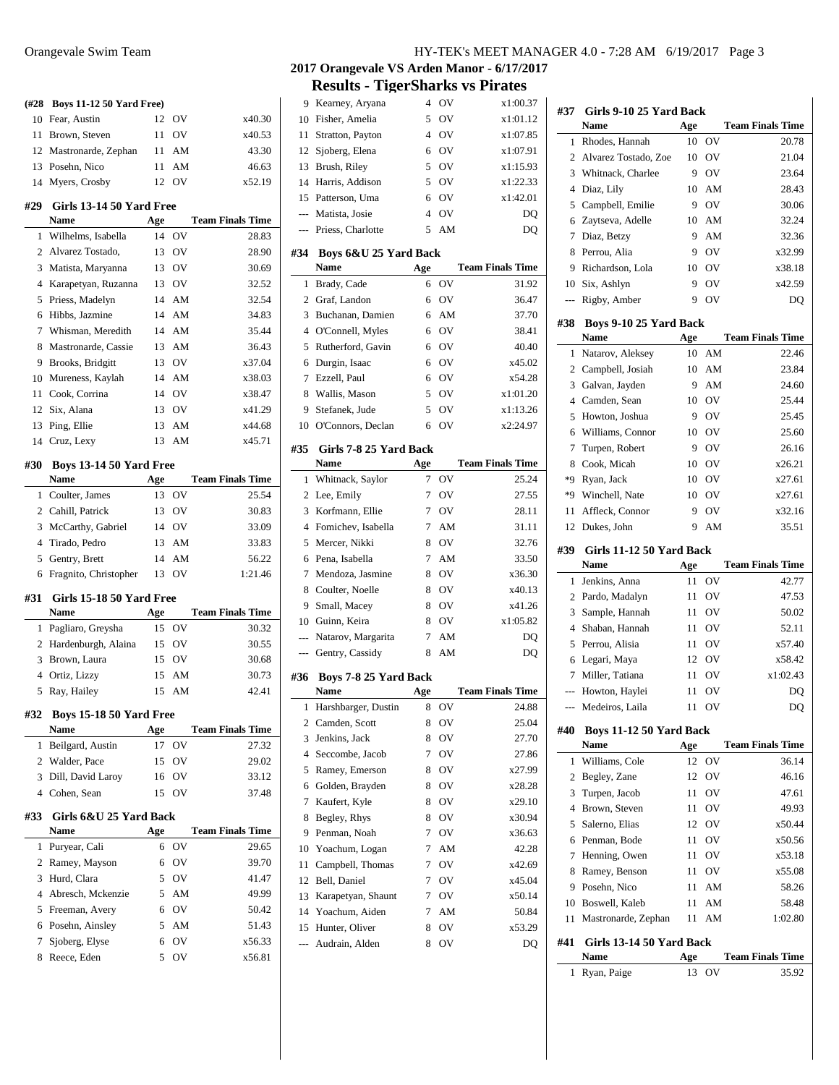| (#28           | <b>Boys 11-12 50 Yard Free)</b>        |     |       |                         |
|----------------|----------------------------------------|-----|-------|-------------------------|
| 10             | Fear, Austin                           | 12  | OV    | x40.30                  |
| 11             | Brown, Steven                          | 11  | OV    | x40.53                  |
|                | 12 Mastronarde, Zephan                 | 11  | AM    | 43.30                   |
|                | 13 Posehn, Nico                        | 11  | AM    | 46.63                   |
| 14             | Myers, Crosby                          | 12  | OV    | x52.19                  |
| #29            | <b>Girls 13-14 50 Yard Free</b>        |     |       |                         |
|                | Name                                   | Age |       | <b>Team Finals Time</b> |
| 1              | Wilhelms, Isabella                     | 14  | OV    | 28.83                   |
| 2              | Alvarez Tostado,                       | 13  | OV    | 28.90                   |
| 3              | Matista, Maryanna                      | 13  | OV    | 30.69                   |
| 4              | Karapetyan, Ruzanna                    | 13  | OV    | 32.52                   |
| 5              | Priess, Madelyn                        | 14  | AM    | 32.54                   |
| 6              | Hibbs, Jazmine                         | 14  | AM    | 34.83                   |
| 7              | Whisman, Meredith                      | 14  | AM    | 35.44                   |
| 8              | Mastronarde, Cassie                    | 13  | AM    | 36.43                   |
| 9              | Brooks, Bridgitt                       | 13  | OV    | x37.04                  |
| 10             | Mureness, Kaylah                       | 14  | AM    | x38.03                  |
| 11             | Cook, Corrina                          | 14  | OV    | x38.47                  |
|                | 12 Six, Alana                          |     | 13 OV | x41.29                  |
| 13             | Ping, Ellie                            | 13  | AM    | x44.68                  |
|                | 14 Cruz, Lexy                          | 13  | AM    | x45.71                  |
|                |                                        |     |       |                         |
| #30            | <b>Boys 13-14 50 Yard Free</b><br>Name | Age |       | <b>Team Finals Time</b> |
| 1              | Coulter, James                         | 13  | OV    | 25.54                   |
|                | 2 Cahill, Patrick                      | 13  | OV    | 30.83                   |
| 3              | McCarthy, Gabriel                      | 14  | OV    | 33.09                   |
|                | 4 Tirado, Pedro                        | 13  | AM    | 33.83                   |
| 5              | Gentry, Brett                          | 14  | AM    | 56.22                   |
| 6              | Fragnito, Christopher                  | 13  | OV    | 1:21.46                 |
|                |                                        |     |       |                         |
| #31            | Girls 15-18 50 Yard Free               |     |       |                         |
|                | <b>Name</b>                            | Age |       | <b>Team Finals Time</b> |
| 1              | Pagliaro, Greysha                      | 15  | OV    | 30.32                   |
|                | 2 Hardenburgh, Alaina                  |     | 15 OV | 30.55                   |
| 3              | Brown, Laura                           | 15  | OV    | 30.68                   |
| $\overline{4}$ | Ortiz, Lizzy                           | 15  | AM    | 30.73                   |
| 5              | Ray, Hailey                            | 15  | AM    | 42.41                   |
| #32            | Boys 15-18 50 Yard Free                |     |       |                         |
|                | Name                                   | Age |       | <b>Team Finals Time</b> |
| 1              | Beilgard, Austin                       | 17  | OV    | 27.32                   |
| 2              | Walder, Pace                           | 15  | OV    | 29.02                   |
| 3              | Dill, David Laroy                      | 16  | OV    | 33.12                   |
| 4              | Cohen, Sean                            | 15  | OV    | 37.48                   |
| #33            | Girls 6&U 25 Yard Back                 |     |       |                         |
|                | <b>Name</b>                            | Age |       | <b>Team Finals Time</b> |
| 1              | Puryear, Cali                          | 6   | OV    | 29.65                   |
| 2              | Ramey, Mayson                          | 6   | OV    | 39.70                   |
| 3              | Hurd, Clara                            | 5   | OV    | 41.47                   |
| 4              | Abresch, Mckenzie                      | 5   | AM    | 49.99                   |
| 5              | Freeman, Avery                         | 6   | OV    | 50.42                   |
| 6              | Posehn, Ainsley                        | 5   | AM    | 51.43                   |
| 7              | Sjoberg, Elyse                         | 6   | OV    | x56.33                  |

8 Reece, Eden 5 OV x56.81

| 10             | Fisher, Amelia         | 5              | ov             | x1:01.12                |
|----------------|------------------------|----------------|----------------|-------------------------|
| 11             | Stratton, Payton       | $\overline{4}$ | OV             | x1:07.85                |
| 12             | Sjoberg, Elena         | 6              | OV             | x1:07.91                |
| 13             | Brush, Riley           | 5              | OV             | x1:15.93                |
|                | 14 Harris, Addison     | 5              | OV             | x1:22.33                |
|                | 15 Patterson, Uma      | 6              | OV             | x1:42.01                |
|                | --- Matista, Josie     | $\overline{4}$ | OV             | DQ                      |
| ---            | Priess, Charlotte      | 5              | AM             | DQ                      |
| #34            | Boys 6&U 25 Yard Back  |                |                |                         |
|                | <b>Name</b>            | Age            |                | <b>Team Finals Time</b> |
| 1              | Brady, Cade            | 6              | O <sub>V</sub> | 31.92                   |
| 2              | Graf, Landon           | 6              | OV             | 36.47                   |
| 3              | Buchanan, Damien       | 6              | AM             | 37.70                   |
| 4              | O'Connell, Myles       | 6              | OV             | 38.41                   |
| 5              | Rutherford, Gavin      | 6              | OV             | 40.40                   |
| 6              | Durgin, Isaac          | 6              | OV             | x45.02                  |
| 7              | Ezzell, Paul           | 6              | OV             | x54.28                  |
| 8              | Wallis, Mason          | 5              | OV             | x1:01.20                |
| 9              | Stefanek, Jude         | 5              | OV             | x1:13.26                |
|                | 10 O'Connors, Declan   | 6              | OV             | x2:24.97                |
| #35            | Girls 7-8 25 Yard Back |                |                |                         |
|                | Name                   | Age            |                | <b>Team Finals Time</b> |
| 1              | Whitnack, Saylor       | 7              | OV             | 25.24                   |
| 2              | Lee, Emily             | 7              | OV             | 27.55                   |
| 3              | Korfmann, Ellie        | 7              | OV             | 28.11                   |
| $\overline{4}$ | Fomichev, Isabella     | 7              | AM             | 31.11                   |
| 5              | Mercer, Nikki          | 8              | OV             | 32.76                   |
| 6              | Pena, Isabella         | 7              | AM             | 33.50                   |
| 7              | Mendoza, Jasmine       | 8              | OV             | x36.30                  |
| 8              | Coulter, Noelle        | 8              | OV             | x40.13                  |
| 9              | Small, Macey           | 8              | OV             | x41.26                  |
|                | 10 Guinn, Keira        | 8              | OV             | x1:05.82                |
| ---            | Natarov, Margarita     | 7              | AM             | DQ                      |
| $---$          | Gentry, Cassidy        | 8              | AM             | DQ                      |
| #36            | Boys 7-8 25 Yard Back  |                |                |                         |
|                | <b>Name</b>            | Age            |                | <b>Team Finals Time</b> |
| 1              | Harshbarger, Dustin    | 8              | OV             | 24.88                   |
| 2              | Camden, Scott          | 8              | ov             | 25.04                   |
| 3              | Jenkins, Jack          | 8              | ov             | 27.70                   |
| $\overline{4}$ | Seccombe, Jacob        | 7              | OV             | 27.86                   |
| 5              | Ramey, Emerson         | 8              | OV             | x27.99                  |
| 6              | Golden, Brayden        | 8              | OV             | x28.28                  |
| 7              | Kaufert, Kyle          | 8              | OV             | x29.10                  |
| 8              | Begley, Rhys           | 8              | OV             | x30.94                  |
| 9              | Penman, Noah           | 7              | OV             | x36.63                  |
| 10             | Yoachum, Logan         | 7              | AM             | 42.28                   |
| 11             | Campbell, Thomas       | 7              | OV             | x42.69                  |
| 12             | Bell, Daniel           | 7              | OV             | x45.04                  |
| 13             | Karapetyan, Shaunt     | 7              | OV             | x50.14                  |
| 14             | Yoachum, Aiden         | 7              | AM             | 50.84                   |
| 15             | Hunter, Oliver         | 8              | OV             | x53.29                  |
|                |                        |                | OV             | DQ                      |
|                | Audrain, Alden         | 8              |                |                         |

 $\overline{a}$ 

| #37            | Girls 9-10 25 Yard Back  |           |    |                                  |
|----------------|--------------------------|-----------|----|----------------------------------|
|                | <b>Name</b>              | Age       |    | <b>Team Finals Time</b>          |
| 1              | Rhodes, Hannah           | 10        | OV | 20.78                            |
| $\overline{c}$ | Alvarez Tostado, Zoe     | 10        | OV | 21.04                            |
| 3              | Whitnack, Charlee        | 9         | OV | 23.64                            |
| 4              | Diaz, Lily               | 10        | AM | 28.43                            |
| 5              | Campbell, Emilie         | 9         | OV | 30.06                            |
| 6              | Zaytseva, Adelle         | 10        | AM | 32.24                            |
| 7              | Diaz, Betzy              | 9         | AM | 32.36                            |
| 8              | Perrou, Alia             | 9         | OV | x32.99                           |
| 9              | Richardson, Lola         | 10        | OV | x38.18                           |
| 10             | Six, Ashlyn              | 9         | OV | x42.59                           |
| ---            | Rigby, Amber             | 9         | OV | DQ                               |
| #38            | Boys 9-10 25 Yard Back   |           |    |                                  |
|                | Name                     | Age       |    | <b>Team Finals Time</b>          |
| 1              | Natarov, Aleksey         | 10        | AM | 22.46                            |
| 2              | Campbell, Josiah         | 10        | AM | 23.84                            |
| 3              | Galvan, Jayden           | 9         | AM | 24.60                            |
| 4              | Camden, Sean             | 10        | OV | 25.44                            |
| 5              | Howton, Joshua           | 9         | OV | 25.45                            |
| 6              | Williams, Connor         | 10        | OV | 25.60                            |
| 7              | Turpen, Robert           | 9         | OV | 26.16                            |
| 8              | Cook, Micah              | 10        | OV | x26.21                           |
| *9             | Ryan, Jack               | 10        | OV | x27.61                           |
| *9             | Winchell, Nate           | 10        | OV | x27.61                           |
| 11             | Affleck, Connor          | 9         | OV | x32.16                           |
| 12             | Dukes, John              | 9         | AM | 35.51                            |
| #39            | Girls 11-12 50 Yard Back |           |    |                                  |
|                |                          |           |    |                                  |
|                | Name                     | Age       |    | <b>Team Finals Time</b>          |
| 1              | Jenkins, Anna            | 11        | OV | 42.77                            |
| 2              | Pardo, Madalyn           | 11        | OV | 47.53                            |
| 3              | Sample, Hannah           | 11        | OV | 50.02                            |
| $\overline{4}$ | Shaban, Hannah           | 11        | OV | 52.11                            |
| 5              | Perrou, Alisia           | 11        | OV | x57.40                           |
| 6              | Legari, Maya             | 12        | OV | x58.42                           |
| 7              | Miller, Tatiana          | 11        | OV | x1:02.43                         |
| $---$          | Howton, Haylei           | 11        | OV | DQ                               |
|                | Medeiros, Laila          | 11        | OV | DQ                               |
| #40            | Boys 11-12 50 Yard Back  |           |    |                                  |
|                | <b>Name</b>              | Age       |    | <b>Team Finals Time</b>          |
| 1              | Williams, Cole           | 12        | OV | 36.14                            |
| $\overline{c}$ | Begley, Zane             | 12        | OV | 46.16                            |
| 3              | Turpen, Jacob            | 11        | OV | 47.61                            |
| 4              | Brown, Steven            | 11        | OV | 49.93                            |
| 5              | Salerno, Elias           | 12        | OV | x50.44                           |
| 6              | Penman, Bode             | 11        | OV | x50.56                           |
| 7              | Henning, Owen            | 11        | OV | x53.18                           |
| 8              | Ramey, Benson            | 11        | OV | x55.08                           |
| 9              | Posehn, Nico             | 11        | AM | 58.26                            |
| 10             | Boswell, Kaleb           | 11        | AM | 58.48                            |
| 11             | Mastronarde, Zephan      | 11        | AM | 1:02.80                          |
| #41            | Girls 13-14 50 Yard Back |           |    |                                  |
| 1              | Name<br>Ryan, Paige      | Age<br>13 | OV | <b>Team Finals Time</b><br>35.92 |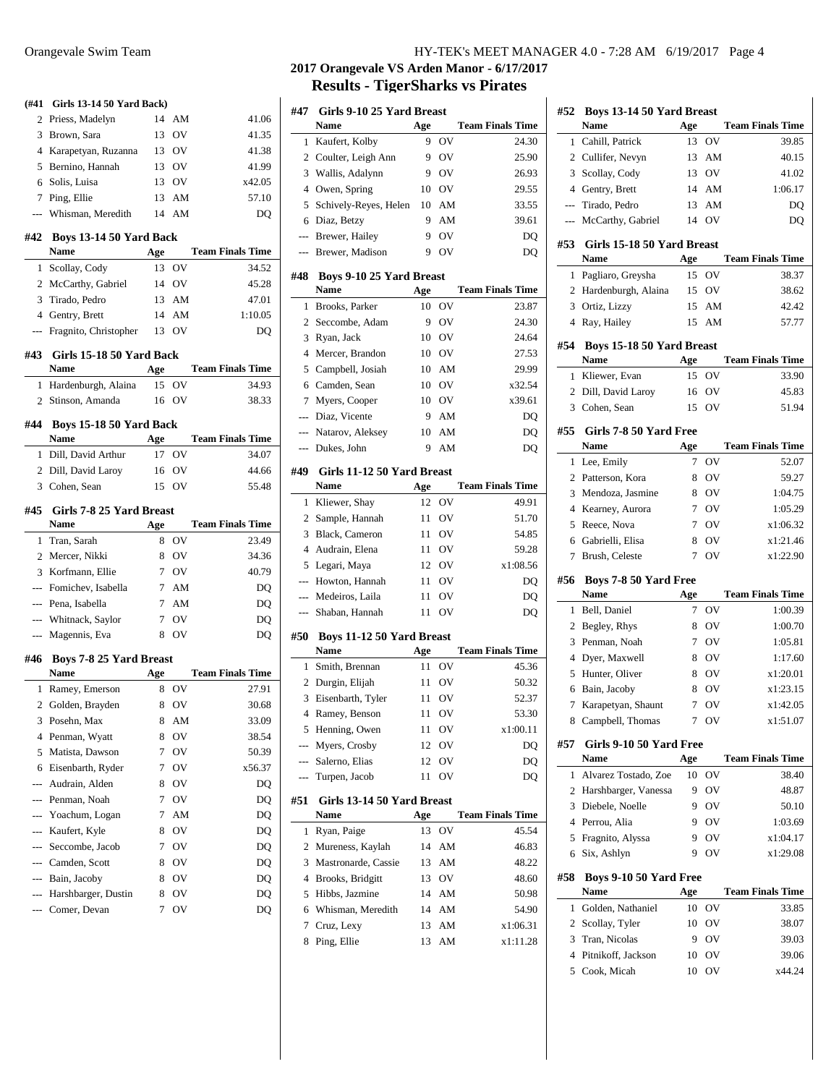| (#41                     | <b>Girls 13-14 50 Yard Back)</b>        |                  |          |                         |
|--------------------------|-----------------------------------------|------------------|----------|-------------------------|
| 2                        | Priess, Madelyn                         |                  | 14 AM    | 41.06                   |
| 3                        | Brown, Sara                             |                  | 13 OV    | 41.35                   |
|                          | 4 Karapetyan, Ruzanna                   |                  | 13 OV    | 41.38                   |
| 5                        | Bernino, Hannah                         |                  | 13 OV    | 41.99                   |
|                          | 6 Solis, Luisa                          |                  | 13 OV    | x42.05                  |
|                          | 7 Ping, Ellie                           | 13               | AM       | 57.10                   |
|                          | --- Whisman, Meredith                   | 14               | AM       | DQ                      |
|                          | #42 Boys 13-14 50 Yard Back             |                  |          |                         |
|                          | Name                                    | Age              |          | <b>Team Finals Time</b> |
| 1                        | Scollay, Cody                           |                  | 13 OV    | 34.52                   |
|                          | 2 McCarthy, Gabriel                     |                  | 14 OV    | 45.28                   |
| 3                        | Tirado, Pedro                           |                  | 13 AM    | 47.01                   |
|                          | 4 Gentry, Brett                         |                  | 14 AM    | 1:10.05                 |
|                          | --- Fragnito, Christopher               |                  | 13 OV    | DQ                      |
|                          | #43 Girls 15-18 50 Yard Back            |                  |          |                         |
|                          | Name                                    | Age              |          | <b>Team Finals Time</b> |
|                          | 1 Hardenburgh, Alaina                   |                  | 15 OV    | 34.93                   |
|                          | 2 Stinson, Amanda                       |                  | 16 OV    | 38.33                   |
|                          | #44 Boys 15-18 50 Yard Back             |                  |          |                         |
|                          | Name                                    | Age              |          | <b>Team Finals Time</b> |
| 1                        | Dill, David Arthur                      |                  | 17 OV    | 34.07                   |
|                          | 2 Dill, David Laroy                     |                  | 16 OV    | 44.66                   |
|                          | 3 Cohen, Sean                           |                  | 15 OV    | 55.48                   |
|                          |                                         |                  |          |                         |
|                          | #45 Girls 7-8 25 Yard Breast            |                  |          |                         |
|                          | Name                                    | Age              |          | <b>Team Finals Time</b> |
| 1                        | Tran, Sarah                             | 8                | OV       | 23.49                   |
|                          | 2 Mercer, Nikki                         |                  | 8 OV     | 34.36                   |
|                          | 3 Korfmann, Ellie                       |                  | 7 OV     | 40.79                   |
|                          | --- Fomichev, Isabella                  |                  | 7 AM     | DQ                      |
|                          | --- Pena, Isabella                      |                  | 7 AM     | DQ                      |
|                          | --- Whitnack, Saylor                    |                  | 7 OV     | DQ                      |
|                          | --- Magennis, Eva                       |                  | 8 OV     | DQ                      |
|                          | #46 Boys 7-8 25 Yard Breast             |                  |          |                         |
|                          | Name                                    | Age              |          | <b>Team Finals Time</b> |
| 1                        | Ramey, Emerson                          |                  | 8 OV     | 27.91                   |
|                          | 2 Golden, Brayden                       | 8 OV             |          | 30.68                   |
| 3                        | Posehn, Max                             | 8                | AM       | 33.09                   |
| 4                        | Penman, Wyatt                           | 8                | OV       | 38.54                   |
| 5                        | Matista, Dawson                         | 7                | OV       | 50.39                   |
| 6                        | Eisenbarth, Ryder                       | 7                | OV       | x56.37                  |
| $\overline{\phantom{a}}$ | Audrain, Alden                          | 8                | OV       | DQ                      |
| ---                      | Penman, Noah                            | 7                | OV       | DQ                      |
| $---$                    |                                         |                  |          | DQ                      |
|                          | Yoachum, Logan                          | $\boldsymbol{7}$ | AM       |                         |
|                          | --- Kaufert, Kyle                       | 8                | OV       | DQ                      |
| ---                      | Seccombe, Jacob                         | 7                | OV       | DQ                      |
|                          | --- Camden, Scott                       | 8                | OV       | DQ                      |
|                          | --- Bain, Jacoby                        | 8                | OV       | DQ                      |
|                          | --- Harshbarger, Dustin<br>Comer, Devan | 8<br>7           | OV<br>OV | DQ<br>DQ                |

## Orangevale Swim Team HY-TEK's MEET MANAGER 4.0 - 7:28 AM 6/19/2017 Page 4

# **2017 Orangevale VS Arden Manor - 6/17/2017 Results - TigerSharks vs Pirates**

| #47            | Girls 9-10 25 Yard Breast                 |     |                |                         |
|----------------|-------------------------------------------|-----|----------------|-------------------------|
|                | <b>Name</b>                               | Age |                | <b>Team Finals Time</b> |
| 1              | Kaufert, Kolby                            | 9   | OV             | 24.30                   |
| 2              | Coulter, Leigh Ann                        | 9   | OV             | 25.90                   |
| 3              | Wallis, Adalynn                           | 9   | OV             | 26.93                   |
| 4              | Owen, Spring                              | 10  | OV             | 29.55                   |
| 5              | Schively-Reyes, Helen                     | 10  | AM             | 33.55                   |
| 6              | Diaz, Betzy                               | 9   | AM             | 39.61                   |
| $\overline{a}$ | Brewer, Hailey                            | 9   | OV             | DQ                      |
| ---            | Brewer, Madison                           | 9   | OV             | DO                      |
| #48            | <b>Boys 9-10 25 Yard Breast</b>           |     |                |                         |
|                | <b>Name</b>                               | Age |                | <b>Team Finals Time</b> |
| 1              | Brooks, Parker                            | 10  | O <sub>V</sub> | 23.87                   |
| 2              | Seccombe, Adam                            | 9   | OV             | 24.30                   |
| 3              | Ryan, Jack                                | 10  | OV             | 24.64                   |
| 4              | Mercer, Brandon                           | 10  | OV             | 27.53                   |
| 5              | Campbell, Josiah                          | 10  | AM             | 29.99                   |
| 6              | Camden, Sean                              | 10  | OV             | x32.54                  |
| 7              | Myers, Cooper                             | 10  | OV             | x39.61                  |
| ---            | Diaz, Vicente                             | 9   | AM             | DQ                      |
| $\overline{a}$ | Natarov, Aleksey                          | 10  | AM             |                         |
| ---            | Dukes, John                               | 9   | AM             | DQ<br>DQ                |
|                |                                           |     |                |                         |
| #49            | Girls 11-12 50 Yard Breast                |     |                |                         |
|                | Name                                      | Age |                | <b>Team Finals Time</b> |
| 1              | Kliewer, Shay                             | 12  | OV             | 49.91                   |
| 2              | Sample, Hannah                            | 11  | OV             | 51.70                   |
| 3              | Black, Cameron                            | 11  | OV             | 54.85                   |
| 4              | Audrain, Elena                            | 11  | OV             | 59.28                   |
| 5              | Legari, Maya                              | 12  | OV             | x1:08.56                |
| ---            | Howton, Hannah                            | 11  | OV             | DQ                      |
| $---$          | Medeiros, Laila                           | 11  | OV             | DQ                      |
|                | Shaban, Hannah                            | 11  | OV             | DQ                      |
| #50            | <b>Boys 11-12 50 Yard Breast</b>          |     |                |                         |
|                | Name                                      | Age |                | <b>Team Finals Time</b> |
| 1              | Smith, Brennan                            | 11  | OV             | 45.36                   |
| $\overline{c}$ | Durgin, Elijah                            | 11  | OV             | 50.32                   |
| 3              | Eisenbarth, Tyler                         | 11  | OV             | 52.37                   |
| $\overline{4}$ | Ramey, Benson                             | 11  | OV             | 53.30                   |
| 5              | Henning, Owen                             | 11  | ov             | x1:00.11                |
| $---$          | Myers, Crosby                             | 12  | OV             | DQ                      |
|                | Salerno, Elias                            | 12  | OV             | DQ                      |
|                | Turpen, Jacob                             | 11  | OV             | DQ                      |
|                |                                           |     |                |                         |
| #51            | Girls 13-14 50 Yard Breast<br><b>Name</b> | Age |                | <b>Team Finals Time</b> |
| 1              | Ryan, Paige                               | 13  | OV             | 45.54                   |
| $\overline{c}$ | Mureness, Kaylah                          | 14  | AM             | 46.83                   |
| 3              | Mastronarde, Cassie                       | 13  | AM             | 48.22                   |
| $\overline{4}$ | Brooks, Bridgitt                          | 13  | OV             | 48.60                   |
| 5              | Hibbs, Jazmine                            | 14  | AM             | 50.98                   |
| 6              | Whisman, Meredith                         | 14  | AM             | 54.90                   |
| 7              | Cruz, Lexy                                | 13  | AM             | x1:06.31                |
| 8              | Ping, Ellie                               | 13  | AM             | x1:11.28                |
|                |                                           |     |                |                         |

| #52                      | Boys 13-14 50 Yard Breast          |           |    |                         |
|--------------------------|------------------------------------|-----------|----|-------------------------|
|                          | Name                               | Age       |    | <b>Team Finals Time</b> |
| 1                        | Cahill, Patrick                    | 13        | OV | 39.85                   |
| 2                        | Cullifer, Nevyn                    | 13        | AM | 40.15                   |
| 3                        | Scollay, Cody                      | 13        | OV | 41.02                   |
|                          | 4 Gentry, Brett                    | 14        | AM | 1:06.17                 |
| $\overline{\phantom{a}}$ | Tirado, Pedro                      | 13        | AM | DQ                      |
| ---                      | McCarthy, Gabriel                  | 14        | OV | DQ                      |
| #53                      | Girls 15-18 50 Yard Breast<br>Name | Age       |    | <b>Team Finals Time</b> |
| 1                        | Pagliaro, Greysha                  | 15        | OV | 38.37                   |
| 2                        | Hardenburgh, Alaina                | 15        | OV | 38.62                   |
| 3                        | Ortiz, Lizzy                       | 15        | AM | 42.42                   |
| 4                        | Ray, Hailey                        | 15        | AM | 57.77                   |
|                          |                                    |           |    |                         |
| #54                      | Boys 15-18 50 Yard Breast<br>Name  |           |    |                         |
|                          |                                    | Age<br>15 | OV | <b>Team Finals Time</b> |
| 1                        | Kliewer, Evan                      |           |    | 33.90                   |
| 2                        | Dill, David Laroy                  | 16        | OV | 45.83                   |
| 3                        | Cohen, Sean                        | 15        | OV | 51.94                   |
| #55                      | Girls 7-8 50 Yard Free             |           |    |                         |
|                          | <b>Name</b>                        | Age       |    | <b>Team Finals Time</b> |
| 1                        | Lee, Emily                         | 7         | OV | 52.07                   |
| $\overline{c}$           | Patterson, Kora                    | 8         | OV | 59.27                   |
| 3                        | Mendoza, Jasmine                   | 8         | OV | 1:04.75                 |
| $\overline{4}$           | Kearney, Aurora                    | 7         | OV | 1:05.29                 |
| 5                        | Reece, Nova                        | $\tau$    | OV | x1:06.32                |
| 6                        | Gabrielli, Elisa                   | 8         | OV | x1:21.46                |
| 7                        | Brush, Celeste                     | 7         | OV | x1:22.90                |
| #56                      | <b>Boys 7-8 50 Yard Free</b>       |           |    |                         |
|                          | Name                               | Age       |    | <b>Team Finals Time</b> |
| 1                        | Bell, Daniel                       | 7         | OV | 1:00.39                 |
| $\overline{c}$           | Begley, Rhys                       | 8         | OV | 1:00.70                 |
| 3                        | Penman, Noah                       | 7         | OV | 1:05.81                 |
| $\overline{4}$           | Dyer, Maxwell                      | 8         | OV | 1:17.60                 |
| 5                        | Hunter, Oliver                     | 8         | OV | x1:20.01                |
| 6                        | Bain, Jacoby                       | 8         | OV | x1:23.15                |
| 7                        | Karapetyan, Shaunt                 | 7         | OV | x1:42.05                |
| 8                        | Campbell, Thomas                   | 7         | OV | x1:51.07                |
| #57                      | Girls 9-10 50 Yard Free            |           |    |                         |
|                          | <b>Name</b>                        | Age       |    | <b>Team Finals Time</b> |
| 1                        | Alvarez Tostado, Zoe               | 10        | OV | 38.40                   |
| 2                        | Harshbarger, Vanessa               | 9         | OV | 48.87                   |
| 3                        | Diebele, Noelle                    | 9         | OV | 50.10                   |
| 4                        | Perrou, Alia                       | 9         | OV | 1:03.69                 |
| 5                        | Fragnito, Alyssa                   | 9         | OV | x1:04.17                |
| 6                        | Six, Ashlyn                        | 9         | OV | x1:29.08                |
| #58                      | Boys 9-10 50 Yard Free             |           |    |                         |
|                          | Name                               | Age       |    | <b>Team Finals Time</b> |
| 1                        | Golden, Nathaniel                  | 10        | OV | 33.85                   |
| 2                        | Scollay, Tyler                     | 10        | OV | 38.07                   |
| 3                        | Tran, Nicolas                      | 9         | OV | 39.03                   |
| 4                        | Pitnikoff, Jackson                 | 10        | OV | 39.06                   |
| 5                        | Cook, Micah                        | 10        | OV | x44.24                  |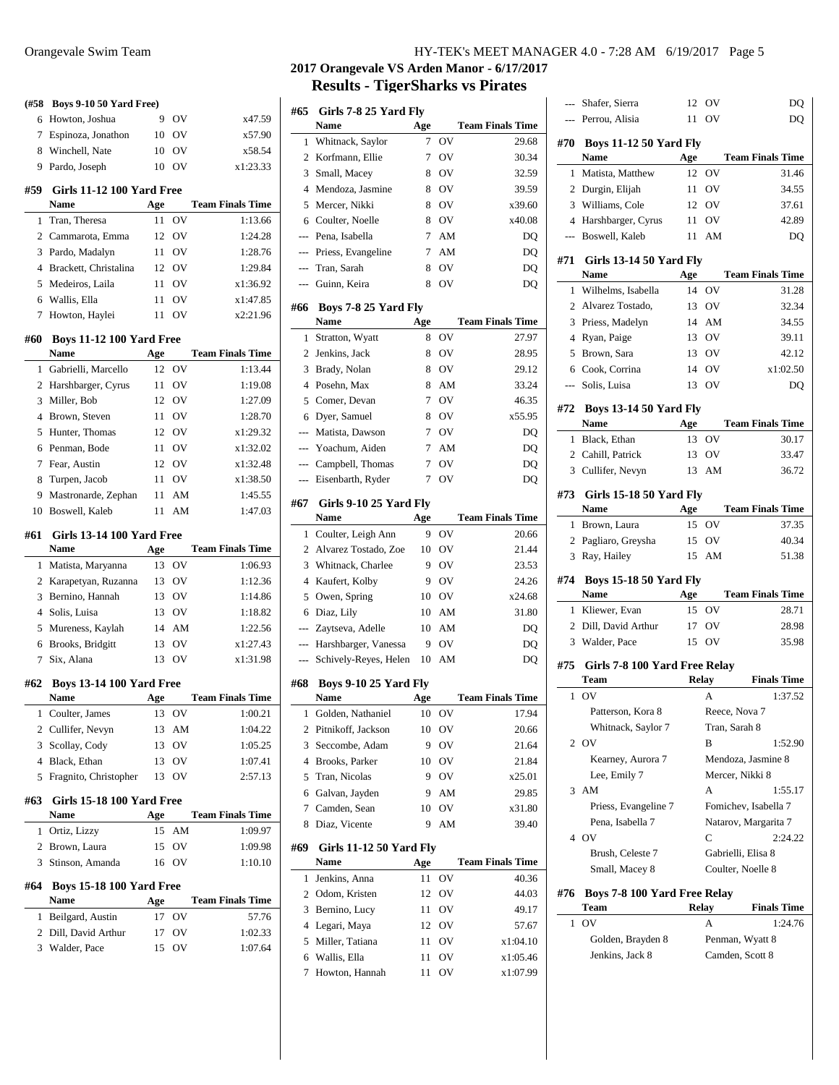| (#58           | Boys 9-10 50 Yard Free)                        |           |           |                         |
|----------------|------------------------------------------------|-----------|-----------|-------------------------|
| 6              | Howton, Joshua                                 | 9         | OV        | x47.59                  |
| 7              | Espinoza, Jonathon                             | 10        | <b>OV</b> | x57.90                  |
| 8              | Winchell, Nate                                 | 10        | OV        | x58.54                  |
| 9              | Pardo, Joseph                                  | 10        | OV        | x1:23.33                |
| #59            | Girls 11-12 100 Yard Free                      |           |           | <b>Team Finals Time</b> |
|                | Name                                           | Age<br>11 | - OV      | 1:13.66                 |
| 1<br>2         | Tran, Theresa                                  | 12        |           |                         |
|                | Cammarota, Emma                                |           | - OV      | 1:24.28                 |
| 3              | Pardo, Madalyn                                 |           | 11 OV     | 1:28.76                 |
|                | 4 Brackett, Christalina                        |           | 12 OV     | 1:29.84                 |
| 5              | Medeiros, Laila                                | 11        | - OV      | x1:36.92                |
| 6              | Wallis, Ella                                   | 11        | <b>OV</b> | x1:47.85                |
| 7              | Howton, Haylei                                 | 11        | <b>OV</b> | x2:21.96                |
| #60            | <b>Boys 11-12 100 Yard Free</b><br><b>Name</b> | Age       |           | <b>Team Finals Time</b> |
| 1              | Gabrielli, Marcello                            | 12        | OV        | 1:13.44                 |
| 2              | Harshbarger, Cyrus                             | 11        | - OV      | 1:19.08                 |
| 3              | Miller, Bob                                    |           | 12 OV     | 1:27.09                 |
| 4              | Brown, Steven                                  |           | 11 OV     | 1:28.70                 |
| 5              | Hunter, Thomas                                 |           | 12 OV     | x1:29.32                |
| 6              | Penman, Bode                                   |           | 11 OV     | x1:32.02                |
| 7              | Fear, Austin                                   |           | 12 OV     | x1:32.48                |
| 8              | Turpen, Jacob                                  |           | 11 OV     | x1:38.50                |
| 9.             | Mastronarde, Zephan                            | 11        | AM        | 1:45.55                 |
| 10             | Boswell, Kaleb                                 | 11        | AM        | 1:47.03                 |
| #61            | <b>Girls 13-14 100 Yard Free</b>               |           |           |                         |
|                | Name                                           | Age       |           | <b>Team Finals Time</b> |
| 1              | Matista, Maryanna                              |           | 13 OV     | 1:06.93                 |
| 2              | Karapetyan, Ruzanna                            |           | 13 OV     | 1:12.36                 |
| 3              | Bernino, Hannah                                |           | 13 OV     | 1:14.86                 |
| 4              | Solis, Luisa                                   |           | 13 OV     | 1:18.82                 |
| 5              | Mureness, Kaylah                               |           | 14 AM     | 1:22.56                 |
| 6              | Brooks, Bridgitt                               |           | 13 OV     | x1:27.43                |
| 7              | Six, Alana                                     | 13        | <b>OV</b> | x1:31.98                |
| #62            | <b>Boys 13-14 100 Yard Free</b><br>Name        | Age       |           | <b>Team Finals Time</b> |
| 1              | Coulter, James                                 | 13        | OV        | 1:00.21                 |
| $\overline{c}$ | Cullifer, Nevyn                                | 13        | AM        | 1:04.22                 |
| 3              | Scollay, Cody                                  | 13        | OV        | 1:05.25                 |
|                | 4 Black, Ethan                                 | 13        | <b>OV</b> | 1:07.41                 |
| 5              | Fragnito, Christopher                          | 13        | OV        | 2:57.13                 |
| #63            | <b>Girls 15-18 100 Yard Free</b>               |           |           |                         |
|                | Name                                           | Age       |           | <b>Team Finals Time</b> |
| 1              | Ortiz, Lizzy                                   | 15        | AM        | 1:09.97                 |
| $\overline{2}$ | Brown, Laura                                   | 15        | OV        | 1:09.98                 |
| 3              | Stinson, Amanda                                | 16        | OV        | 1:10.10                 |
| #64            | <b>Boys 15-18 100 Yard Free</b>                |           |           |                         |
|                | Name                                           | Age       |           | <b>Team Finals Time</b> |
| 1              | Beilgard, Austin                               | 17        | OV        | 57.76                   |
| 2              | Dill, David Arthur                             | 17        | OV        | 1:02.33                 |
| 3              | Walder, Pace                                   | 15        | OV        | 1:07.64                 |
|                |                                                |           |           |                         |

## Orangevale Swim Team HY-TEK's MEET MANAGER 4.0 - 7:28 AM 6/19/2017 Page 5

### **2017 Orangevale VS Arden Manor - 6/17/2017 Results - TigerSharks vs Pirates**  $\overline{1}$

| #65            | Girls 7-8 25 Yard Fly                 |     |                               |                         |
|----------------|---------------------------------------|-----|-------------------------------|-------------------------|
|                | Name                                  | Age |                               | <b>Team Finals Time</b> |
| 1              | Whitnack, Saylor                      | 7   | OV                            | 29.68                   |
| 2              | Korfmann, Ellie                       | 7   | OV                            | 30.34                   |
| 3              | Small, Macey                          | 8   | ov                            | 32.59                   |
| 4              | Mendoza, Jasmine                      | 8   | OV                            | 39.59                   |
| 5              | Mercer, Nikki                         | 8   | OV                            | x39.60                  |
| 6              | Coulter, Noelle                       | 8   | OV                            | x40.08                  |
| $\overline{a}$ | Pena, Isabella                        | 7   | AM                            | DQ                      |
| ---            | Priess, Evangeline                    | 7   | AM                            | DQ                      |
| $---$          | Tran, Sarah                           | 8   | OV                            | DQ                      |
| ---            | Guinn, Keira                          | 8   | OV                            | DQ                      |
|                |                                       |     |                               |                         |
| #66            | Boys 7-8 25 Yard Fly<br>Name          | Age |                               | <b>Team Finals Time</b> |
| 1              | Stratton, Wyatt                       | 8   | $\overline{\text{O}}\text{V}$ | 27.97                   |
| 2              | Jenkins, Jack                         | 8   | ov                            | 28.95                   |
| 3              | Brady, Nolan                          | 8   | OV                            | 29.12                   |
| $\overline{4}$ | Posehn, Max                           | 8   | AM                            | 33.24                   |
| 5              | Comer, Devan                          | 7   | OV                            | 46.35                   |
| 6              |                                       | 8   | OV                            |                         |
| $---$          | Dyer, Samuel<br>Matista, Dawson       | 7   | OV                            | x55.95                  |
| $\overline{a}$ | Yoachum, Aiden                        | 7   | AM                            | DQ                      |
| $---$          |                                       | 7   | O <sub>V</sub>                | DQ                      |
|                | Campbell, Thomas<br>Eisenbarth, Ryder | 7   | OV                            | DQ<br>DQ                |
|                |                                       |     |                               |                         |
| #67            | Girls 9-10 25 Yard Fly                |     |                               |                         |
|                | Name                                  | Age |                               | <b>Team Finals Time</b> |
| 1              | Coulter, Leigh Ann                    | 9   | OV                            | 20.66                   |
| $\overline{c}$ | Alvarez Tostado, Zoe                  | 10  | OV                            | 21.44                   |
| 3              | Whitnack, Charlee                     | 9   | OV                            | 23.53                   |
| $\overline{4}$ | Kaufert, Kolby                        | 9   | OV                            | 24.26                   |
| 5              | Owen, Spring                          | 10  | OV                            | x24.68                  |
| 6              | Diaz, Lily                            | 10  | AM                            | 31.80                   |
| ---            | Zaytseva, Adelle                      | 10  | AM                            | DQ                      |
| ---            | Harshbarger, Vanessa                  | 9   | OV                            | DQ                      |
|                | Schively-Reyes, Helen                 | 10  | AM                            | DQ                      |
| #68            | <b>Boys 9-10 25 Yard Fly</b>          |     |                               |                         |
|                | Name                                  | Age |                               | <b>Team Finals Time</b> |
| 1              | Golden, Nathaniel                     | 10  | OV                            | 17.94                   |
| 2              | Pitnikoff, Jackson                    | 10  | ov                            | 20.66                   |
| 3              | Seccombe, Adam                        | 9   | OV                            | 21.64                   |
| $\overline{4}$ | <b>Brooks</b> , Parker                | 10  | OV                            | 21.84                   |
| 5              | Tran, Nicolas                         | 9   | OV                            | x25.01                  |
|                | 6 Galvan, Jayden                      | 9   | AM                            | 29.85                   |
| $\tau$         | Camden, Sean                          | 10  | OV                            | x31.80                  |
| 8              | Diaz, Vicente                         | 9   | AM                            | 39.40                   |
|                |                                       |     |                               |                         |
| #69            | Girls 11-12 50 Yard Fly<br>Name       | Age |                               | <b>Team Finals Time</b> |
| 1              | Jenkins, Anna                         | 11  | OV                            | 40.36                   |
| 2              | Odom, Kristen                         | 12  | OV                            | 44.03                   |
| 3              | Bernino, Lucy                         | 11  | ov                            | 49.17                   |
| $\overline{4}$ | Legari, Maya                          | 12  | OV                            | 57.67                   |
| 5              | Miller, Tatiana                       | 11  | OV                            | x1:04.10                |
| 6              | Wallis, Ella                          | 11  | OV                            | x1:05.46                |
| 7              | Howton, Hannah                        | 11  | OV                            | x1:07.99                |
|                |                                       |     |                               |                         |

|                | Shafer, Sierra                        | 12    | ov           | DQ                                 |
|----------------|---------------------------------------|-------|--------------|------------------------------------|
| $---$          | Perrou, Alisia                        | 11    | OV           | DQ                                 |
|                | #70 Boys 11-12 50 Yard Fly<br>Name    | Age   |              | <b>Team Finals Time</b>            |
| 1.             | Matista, Matthew                      | 12    | OV           | 31.46                              |
|                | 2 Durgin, Elijah                      | 11    | OV           | 34.55                              |
|                | 3 Williams, Cole                      | 12    | OV           | 37.61                              |
|                | 4 Harshbarger, Cyrus                  | 11    | OV           | 42.89                              |
| ---            | Boswell, Kaleb                        | 11    | AM           | DQ                                 |
|                |                                       |       |              |                                    |
| #71            | Girls 13-14 50 Yard Fly               |       |              |                                    |
|                | Name                                  | Age   |              | <b>Team Finals Time</b>            |
| 1              | Wilhelms, Isabella                    | 14    | OV           | 31.28                              |
| $\overline{2}$ | Alvarez Tostado,                      | 13    | OV           | 32.34                              |
|                | 3 Priess, Madelyn                     | 14    | AM           | 34.55                              |
| $\overline{4}$ | Ryan, Paige                           | 13    | OV           | 39.11                              |
| 5              | Brown, Sara                           | 13    | OV           | 42.12                              |
|                | 6 Cook, Corrina                       | 14    | OV           | x1:02.50                           |
| $---$          | Solis, Luisa                          | 13    | OV           | DO                                 |
| #72            | <b>Boys 13-14 50 Yard Fly</b>         |       |              |                                    |
|                | <b>Name</b>                           | Age   |              | <b>Team Finals Time</b>            |
| 1              | Black, Ethan                          | 13    | OV           | 30.17                              |
|                | 2 Cahill, Patrick                     | 13    | OV           | 33.47                              |
| 3              | Cullifer, Nevyn                       | 13    | AM           | 36.72                              |
|                |                                       |       |              |                                    |
|                | #73 Girls 15-18 50 Yard Fly           |       |              |                                    |
|                | Name                                  | Age   |              | <b>Team Finals Time</b>            |
| 1              | Brown, Laura                          | 15    | OV           | 37.35                              |
|                | 2 Pagliaro, Greysha                   | 15    | OV           | 40.34                              |
| 3              | Ray, Hailey                           | 15    | AM           | 51.38                              |
|                |                                       |       |              |                                    |
| #74            | <b>Boys 15-18 50 Yard Fly</b>         |       |              |                                    |
|                | Name                                  | Age   |              | <b>Team Finals Time</b>            |
| 1              | Kliewer, Evan                         | 15    | OV           | 28.71                              |
| $\overline{2}$ | Dill, David Arthur                    | 17    | OV           | 28.98                              |
| 3              | Walder, Pace                          | 15    | OV           | 35.98                              |
| #75            |                                       |       |              |                                    |
|                | Girls 7-8 100 Yard Free Relay<br>Team | Relay |              | <b>Finals Time</b>                 |
| 1              | OV                                    |       | А            | 1:37.52                            |
|                | Patterson, Kora 8                     |       |              | Reece, Nova 7                      |
|                | Whitnack, Saylor 7                    |       |              | Tran, Sarah 8                      |
|                | 2 OV                                  |       | B            | 1:52.90                            |
|                | Kearney, Aurora 7                     |       |              | Mendoza, Jasmine 8                 |
|                | Lee, Emily 7                          |       |              | Mercer, Nikki 8                    |
| 3              | AM                                    |       | А            | 1:55.17                            |
|                | Priess, Evangeline 7                  |       |              | Fomichev, Isabella 7               |
|                | Pena, Isabella 7                      |       |              | Natarov, Margarita 7               |
| 4              | <b>OV</b>                             |       | C            | 2:24.22                            |
|                | Brush, Celeste 7                      |       |              | Gabrielli, Elisa 8                 |
|                | Small, Macey 8                        |       |              | Coulter, Noelle 8                  |
|                |                                       |       |              |                                    |
| #76            | Boys 7-8 100 Yard Free Relay          |       |              |                                    |
|                | Team                                  |       | <b>Relay</b> | <b>Finals Time</b>                 |
| 1              | O <sub>V</sub>                        |       | A            | 1:24.76                            |
|                | Golden, Brayden 8<br>Jenkins, Jack 8  |       |              | Penman, Wyatt 8<br>Camden, Scott 8 |